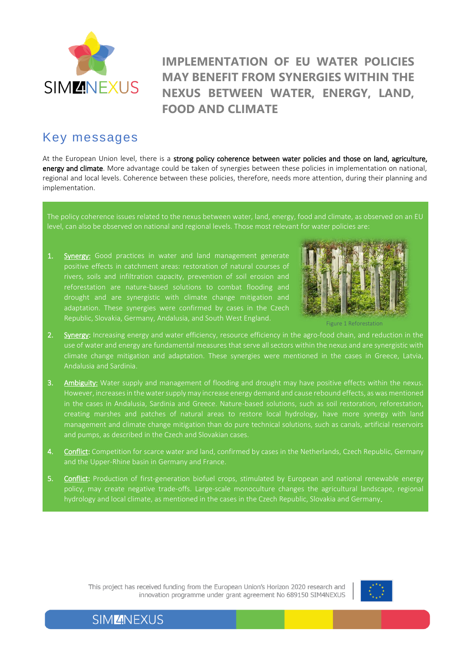

## **IMPLEMENTATION OF EU WATER POLICIES MAY BENEFIT FROM SYNERGIES WITHIN THE NEXUS BETWEEN WATER, ENERGY, LAND, FOOD AND CLIMATE**

## Key messages

At the European Union level, there is a strong policy coherence between water policies and those on land, agriculture, energy and climate. More advantage could be taken of synergies between these policies in implementation on national, regional and local levels. Coherence between these policies, therefore, needs more attention, during their planning and implementation.

The policy coherence issues related to the nexus between water, land, energy, food and climate, as observed on an EU level, can also be observed on national and regional levels. Those most relevant for water policies are:

1. Synergy: Good practices in water and land management generate positive effects in catchment areas: restoration of natural courses of rivers, soils and infiltration capacity, prevention of soil erosion and reforestation are nature-based solutions to combat flooding and drought and are synergistic with climate change mitigation and adaptation. These synergies were confirmed by cases in the Czech Republic, Slovakia, Germany, Andalusia, and South West England.



Figure 1 Reforestation

- 2. Synergy: Increasing energy and water efficiency, resource efficiency in the agro-food chain, and reduction in the use of water and energy are fundamental measures that serve all sectors within the nexus and are synergistic with climate change mitigation and adaptation. These synergies were mentioned in the cases in Greece, Latvia, Andalusia and Sardinia.
- 3. Ambiguity: Water supply and management of flooding and drought may have positive effects within the nexus. However, increases in the water supply may increase energy demand and cause rebound effects, as was mentioned in the cases in Andalusia, Sardinia and Greece. Nature-based solutions, such as soil restoration, reforestation, creating marshes and patches of natural areas to restore local hydrology, have more synergy with land management and climate change mitigation than do pure technical solutions, such as canals, artificial reservoirs and pumps, as described in the Czech and Slovakian cases.
- 4. Conflict: Competition for scarce water and land, confirmed by cases in the Netherlands, Czech Republic, Germany and the Upper-Rhine basin in Germany and France.
- 5. Conflict: Production of first-generation biofuel crops, stimulated by European and national renewable energy policy, may create negative trade-offs. Large-scale monoculture changes the agricultural landscape, regional hydrology and local climate, as mentioned in the cases in the Czech Republic, Slovakia and Germany.

This project has received funding from the European Union's Horizon 2020 research and innovation programme under grant agreement No 689150 SIM4NEXUS



### **SIMZINEXUS**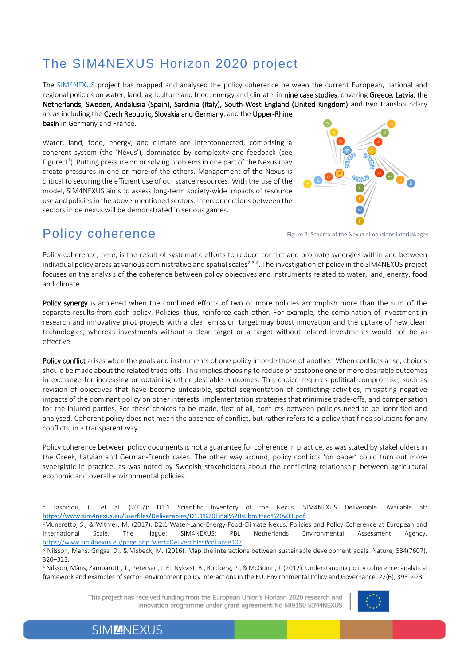# The SIM4NEXUS Horizon 2020 project

The [SIM4NEXUS](https://www.sim4nexus.eu/) project has mapped and analysed the policy coherence between the current European, national and regional policies on water, land, agriculture and food, energy and climate, in nine case studies, covering Greece, Latvia, the Netherlands, Sweden, Andalusia (Spain), Sardinia (Italy), South-West England (United Kingdom) and two transboundary areas including the Czech Republic, Slovakia and Germany; and the Upper-Rhine basin in Germany and France.

Water, land, food, energy, and climate are interconnected, comprising a coherent system (the 'Nexus'), dominated by complexity and feedback (see Figure  $1^{\text{1}}$ ). Putting pressure on or solving problems in one part of the Nexus may create pressures in one or more of the others. Management of the Nexus is critical to securing the efficient use of our scarce resources. With the use of the model, SIM4NEXUS aims to assess long-term society-wide impacts of resource use and policies in the above-mentioned sectors. Interconnections between the sectors in de nexus will be demonstrated in serious games.



## Policy coherence

 $\overline{a}$ 

Figure 2: Schema of the Nexus dimensions interlinkages

Policy coherence, here, is the result of systematic efforts to reduce conflict and promote synergies within and between individual policy areas at various administrative and spatial scales<sup>234</sup>. The investigation of policy in the SIM4NEXUS project focuses on the analysis of the coherence between policy objectives and instruments related to water, land, energy, food and climate.

Policy synergy is achieved when the combined efforts of two or more policies accomplish more than the sum of the separate results from each policy. Policies, thus, reinforce each other. For example, the combination of investment in research and innovative pilot projects with a clear emission target may boost innovation and the uptake of new clean technologies, whereas investments without a clear target or a target without related investments would not be as effective.

Policy conflict arises when the goals and instruments of one policy impede those of another. When conflicts arise, choices should be made about the related trade-offs. This implies choosing to reduce or postpone one or more desirable outcomes in exchange for increasing or obtaining other desirable outcomes. This choice requires political compromise, such as revision of objectives that have become unfeasible, spatial segmentation of conflicting activities, mitigating negative impacts of the dominant policy on other interests, implementation strategies that minimise trade-offs, and compensation for the injured parties. For these choices to be made, first of all, conflicts between policies need to be identified and analysed. Coherent policy does not mean the absence of conflict, but rather refers to a policy that finds solutions for any conflicts, in a transparent way.

Policy coherence between policy documents is not a guarantee for coherence in practice, as was stated by stakeholders in the Greek, Latvian and German‐French cases. The other way around, policy conflicts 'on paper' could turn out more synergistic in practice, as was noted by Swedish stakeholders about the conflicting relationship between agricultural economic and overall environmental policies.

This project has received funding from the European Union's Horizon 2020 research and innovation programme under grant agreement No 689150 SIM4NEXUS



**SIMZNEXUS** 

<sup>1</sup> Laspidou, C. et al. (2017): D1.1 Scientific Inventory of the Nexus. SIM4NEXUS Deliverable. Available at: <https://www.sim4nexus.eu/userfiles/Deliverables/D1.1%20Final%20submitted%20v03.pdf>

<sup>2</sup>Munaretto, S., & Witmer, M. (2017). D2.1 Water‐Land‐Energy‐Food‐Climate Nexus: Policies and Policy Coherence at European and International Scale. The Hague: SIM4NEXUS; PBL Netherlands Environmental Assessment Agency. <https://www.sim4nexus.eu/page.php?wert=Deliverables#collapse107>

<sup>3</sup> Nilsson, Mans, Griggs, D., & Visbeck, M. (2016). Map the interactions between sustainable development goals. Nature, 534(7607), 320–323.

<sup>4</sup> Nilsson, Måns, Zamparutti, T., Petersen, J. E., Nykvist, B., Rudberg, P., & McGuinn, J. (2012). Understanding policy coherence: analytical framework and examples of sector–environment policy interactions in the EU. Environmental Policy and Governance, 22(6), 395–423.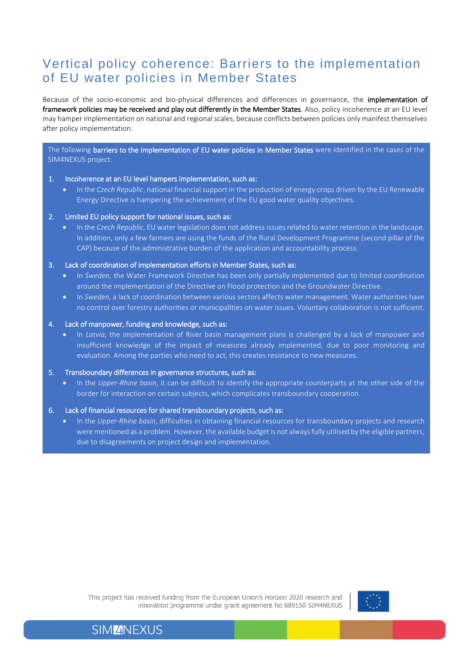## Vertical policy coherence: Barriers to the implementation of EU water policies in Member States

Because of the socio-economic and bio-physical differences and differences in governance, the implementation of framework policies may be received and play out differently in the Member States. Also, policy incoherence at an EU level may hamper implementation on national and regional scales, because conflicts between policies only manifest themselves after policy implementation.

The following barriers to the implementation of EU water policies in Member States were identified in the cases of the SIM4NEXUS project:

#### 1. Incoherence at an EU level hampers implementation, such as:

• In the *Czech Republic*, national financial support in the production of energy crops driven by the EU Renewable Energy Directive is hampering the achievement of the EU good water quality objectives.

#### 2. Limited EU policy support for national issues, such as:

• In the *Czech Republic*, EU water legislation does not address issues related to water retention in the landscape. In addition, only a few farmers are using the funds of the Rural Development Programme (second pillar of the CAP) because of the administrative burden of the application and accountability process.

#### 3. Lack of coordination of implementation efforts in Member States, such as:

- In *Sweden,* the Water Framework Directive has been only partially implemented due to limited coordination around the implementation of the Directive on Flood protection and the Groundwater Directive.
- In *Sweden*, a lack of coordination between various sectors affects water management. Water authorities have no control over forestry authorities or municipalities on water issues. Voluntary collaboration is not sufficient.

#### 4. Lack of manpower, funding and knowledge, such as:

• In *Latvia*, the implementation of River basin management plans is challenged by a lack of manpower and insufficient knowledge of the impact of measures already implemented, due to poor monitoring and evaluation. Among the parties who need to act, this creates resistance to new measures.

#### 5. Transboundary differences in governance structures, such as:

• In the *Upper-Rhine basin*, it can be difficult to identify the appropriate counterparts at the other side of the border for interaction on certain subjects, which complicates transboundary cooperation.

#### 6. Lack of financial resources for shared transboundary projects, such as:

• In the *Upper-Rhine basin*, difficulties in obtaining financial resources for transboundary projects and research were mentioned as a problem. However, the available budget is not always fully utilised by the eligible partners, due to disagreements on project design and implementation.





### **SIMZNEXUS**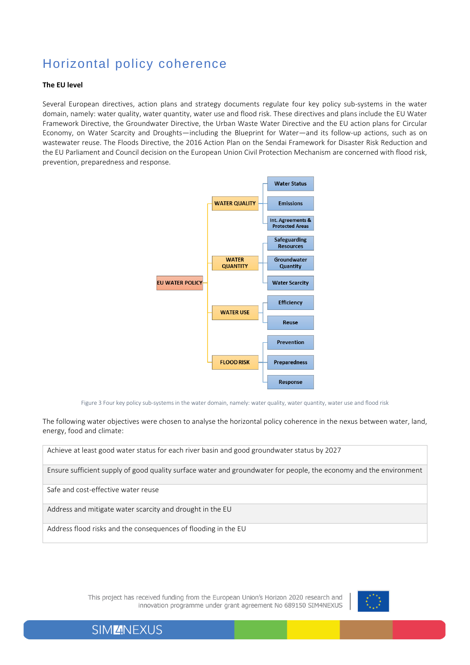# Horizontal policy coherence

#### **The EU level**

Several European directives, action plans and strategy documents regulate four key policy sub-systems in the water domain, namely: water quality, water quantity, water use and flood risk. These directives and plans include the EU Water Framework Directive, the Groundwater Directive, the Urban Waste Water Directive and the EU action plans for Circular Economy, on Water Scarcity and Droughts—including the Blueprint for Water—and its follow-up actions, such as on wastewater reuse. The Floods Directive, the 2016 Action Plan on the Sendai Framework for Disaster Risk Reduction and the EU Parliament and Council decision on the European Union Civil Protection Mechanism are concerned with flood risk, prevention, preparedness and response.



Figure 3 Four key policy sub-systems in the water domain, namely: water quality, water quantity, water use and flood risk

The following water objectives were chosen to analyse the horizontal policy coherence in the nexus between water, land, energy, food and climate:

Achieve at least good water status for each river basin and good groundwater status by 2027

Ensure sufficient supply of good quality surface water and groundwater for people, the economy and the environment

Safe and cost-effective water reuse

Address and mitigate water scarcity and drought in the EU

Address flood risks and the consequences of flooding in the EU

This project has received funding from the European Union's Horizon 2020 research and innovation programme under grant agreement No 689150 SIM4NEXUS



**SIMZINEXUS**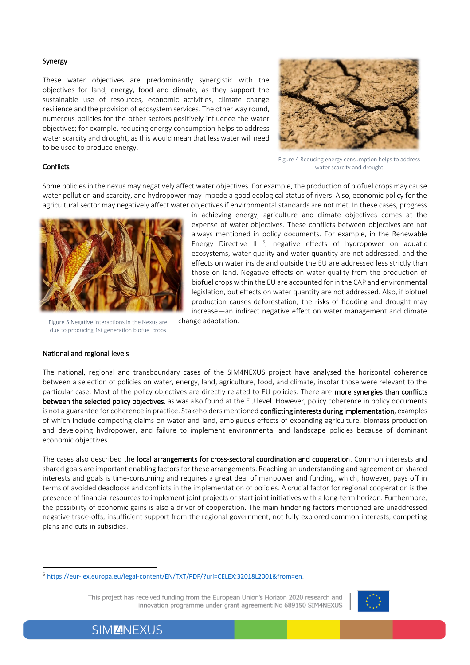#### Synergy

These water objectives are predominantly synergistic with the objectives for land, energy, food and climate, as they support the sustainable use of resources, economic activities, climate change resilience and the provision of ecosystem services. The other way round, numerous policies for the other sectors positively influence the water objectives; for example, reducing energy consumption helps to address water scarcity and drought, as this would mean that less water will need to be used to produce energy.



#### **Conflicts**

Figure 4 Reducing energy consumption helps to address water scarcity and drought

Some policies in the nexus may negatively affect water objectives. For example, the production of biofuel crops may cause water pollution and scarcity, and hydropower may impede a good ecological status of rivers. Also, economic policy for the agricultural sector may negatively affect water objectives if environmental standards are not met. In these cases, progress



Figure 5 Negative interactions in the Nexus are due to producing 1st generation biofuel crops

#### National and regional levels

 $\overline{a}$ 

in achieving energy, agriculture and climate objectives comes at the expense of water objectives. These conflicts between objectives are not always mentioned in policy documents. For example, in the Renewable Energy Directive II  $5$ , negative effects of hydropower on aquatic ecosystems, water quality and water quantity are not addressed, and the effects on water inside and outside the EU are addressed less strictly than those on land. Negative effects on water quality from the production of biofuel crops within the EU are accounted for in the CAP and environmental legislation, but effects on water quantity are not addressed. Also, if biofuel production causes deforestation, the risks of flooding and drought may increase—an indirect negative effect on water management and climate change adaptation.

The national, regional and transboundary cases of the SIM4NEXUS project have analysed the horizontal coherence between a selection of policies on water, energy, land, agriculture, food, and climate, insofar those were relevant to the particular case. Most of the policy objectives are directly related to EU policies. There are more synergies than conflicts between the selected policy objectives, as was also found at the EU level. However, policy coherence in policy documents is not a guarantee for coherence in practice. Stakeholders mentioned conflicting interests during implementation, examples of which include competing claims on water and land, ambiguous effects of expanding agriculture, biomass production and developing hydropower, and failure to implement environmental and landscape policies because of dominant economic objectives.

The cases also described the local arrangements for cross-sectoral coordination and cooperation. Common interests and shared goals are important enabling factors for these arrangements. Reaching an understanding and agreement on shared interests and goals is time-consuming and requires a great deal of manpower and funding, which, however, pays off in terms of avoided deadlocks and conflicts in the implementation of policies. A crucial factor for regional cooperation is the presence of financial resources to implement joint projects or start joint initiatives with a long-term horizon. Furthermore, the possibility of economic gains is also a driver of cooperation. The main hindering factors mentioned are unaddressed negative trade‐offs, insufficient support from the regional government, not fully explored common interests, competing plans and cuts in subsidies.

This project has received funding from the European Union's Horizon 2020 research and innovation programme under grant agreement No 689150 SIM4NEXUS



<sup>5</sup> <https://eur-lex.europa.eu/legal-content/EN/TXT/PDF/?uri=CELEX:32018L2001&from=en>.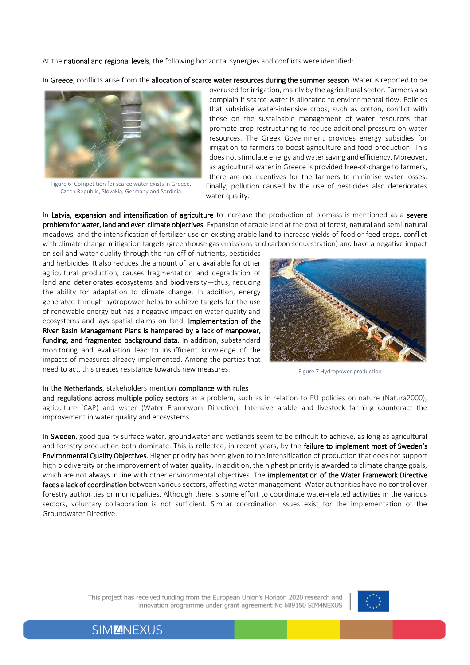At the national and regional levels, the following horizontal synergies and conflicts were identified:

In Greece, conflicts arise from the allocation of scarce water resources during the summer season. Water is reported to be



Figure 6: Competition for scarce water exists in Greece, Czech Republic, Slovakia, Germany and Sardinia

overused for irrigation, mainly by the agricultural sector. Farmers also complain if scarce water is allocated to environmental flow. Policies that subsidise water‐intensive crops, such as cotton, conflict with those on the sustainable management of water resources that promote crop restructuring to reduce additional pressure on water resources. The Greek Government provides energy subsidies for irrigation to farmers to boost agriculture and food production. This does not stimulate energy and water saving and efficiency. Moreover, as agricultural water in Greece is provided free‐of‐charge to farmers, there are no incentives for the farmers to minimise water losses. Finally, pollution caused by the use of pesticides also deteriorates water quality.

In Latvia, expansion and intensification of agriculture to increase the production of biomass is mentioned as a severe problem for water, land and even climate objectives. Expansion of arable land at the cost of forest, natural and semi-natural meadows, and the intensification of fertilizer use on existing arable land to increase yields of food or feed crops, conflict with climate change mitigation targets (greenhouse gas emissions and carbon sequestration) and have a negative impact

on soil and water quality through the run-off of nutrients, pesticides and herbicides. It also reduces the amount of land available for other agricultural production, causes fragmentation and degradation of land and deteriorates ecosystems and biodiversity—thus, reducing the ability for adaptation to climate change. In addition, energy generated through hydropower helps to achieve targets for the use of renewable energy but has a negative impact on water quality and ecosystems and lays spatial claims on land. Implementation of the River Basin Management Plans is hampered by a lack of manpower, funding, and fragmented background data. In addition, substandard monitoring and evaluation lead to insufficient knowledge of the impacts of measures already implemented. Among the parties that need to act, this creates resistance towards new measures.



Figure 7 Hydropower production

#### In the Netherlands, stakeholders mention compliance with rules

and regulations across multiple policy sectors as a problem, such as in relation to EU policies on nature (Natura2000), agriculture (CAP) and water (Water Framework Directive). Intensive arable and livestock farming counteract the improvement in water quality and ecosystems.

In Sweden, good quality surface water, groundwater and wetlands seem to be difficult to achieve, as long as agricultural and forestry production both dominate. This is reflected, in recent years, by the failure to implement most of Sweden's Environmental Quality Objectives. Higher priority has been given to the intensification of production that does not support high biodiversity or the improvement of water quality. In addition, the highest priority is awarded to climate change goals, which are not always in line with other environmental objectives. The implementation of the Water Framework Directive faces a lack of coordination between various sectors, affecting water management. Water authorities have no control over forestry authorities or municipalities. Although there is some effort to coordinate water‐related activities in the various sectors, voluntary collaboration is not sufficient. Similar coordination issues exist for the implementation of the Groundwater Directive.

> This project has received funding from the European Union's Horizon 2020 research and innovation programme under grant agreement No 689150 SIM4NEXUS



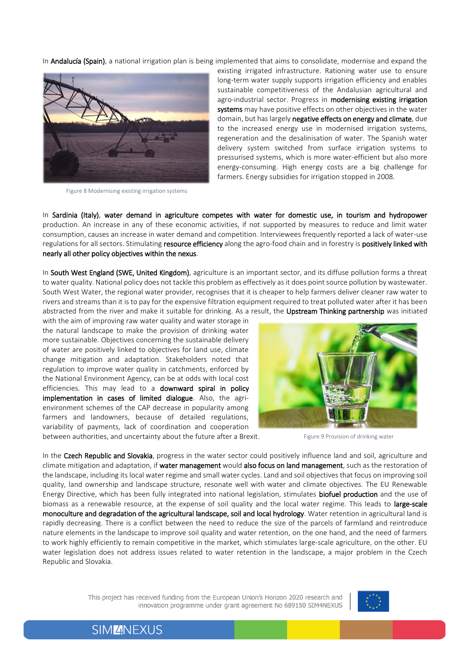In **Andalucía (Spain)**, a national irrigation plan is being implemented that aims to consolidate, modernise and expand the



Figure 8 Modernising existing irrigation systems

existing irrigated infrastructure. Rationing water use to ensure long-term water supply supports irrigation efficiency and enables sustainable competitiveness of the Andalusian agricultural and agro-industrial sector. Progress in modernising existing irrigation systems may have positive effects on other objectives in the water domain, but has largely negative effects on energy and climate, due to the increased energy use in modernised irrigation systems, regeneration and the desalinisation of water. The Spanish water delivery system switched from surface irrigation systems to pressurised systems, which is more water-efficient but also more energy-consuming. High energy costs are a big challenge for farmers. Energy subsidies for irrigation stopped in 2008.

In Sardinia (Italy), water demand in agriculture competes with water for domestic use, in tourism and hydropower production. An increase in any of these economic activities, if not supported by measures to reduce and limit water consumption, causes an increase in water demand and competition. Interviewees frequently reported a lack of water-use regulations for all sectors. Stimulating resource efficiency along the agro-food chain and in forestry is positively linked with nearly all other policy objectives within the nexus.

In South West England (SWE, United Kingdom), agriculture is an important sector, and its diffuse pollution forms a threat to water quality. National policy does not tackle this problem as effectively as it does point source pollution by wastewater. South West Water, the regional water provider, recognises that it is cheaper to help farmers deliver cleaner raw water to rivers and streams than it is to pay for the expensive filtration equipment required to treat polluted water after it has been abstracted from the river and make it suitable for drinking. As a result, the Upstream Thinking partnership was initiated

with the aim of improving raw water quality and water storage in the natural landscape to make the provision of drinking water more sustainable. Objectives concerning the sustainable delivery of water are positively linked to objectives for land use, climate change mitigation and adaptation. Stakeholders noted that regulation to improve water quality in catchments, enforced by the National Environment Agency, can be at odds with local cost efficiencies. This may lead to a downward spiral in policy implementation in cases of limited dialogue. Also, the agrienvironment schemes of the CAP decrease in popularity among farmers and landowners, because of detailed regulations, variability of payments, lack of coordination and cooperation between authorities, and uncertainty about the future after a Brexit.



Figure 9 Provision of drinking water

In the Czech Republic and Slovakia, progress in the water sector could positively influence land and soil, agriculture and climate mitigation and adaptation, if water management would also focus on land management, such as the restoration of the landscape, including its local water regime and small water cycles. Land and soil objectives that focus on improving soil quality, land ownership and landscape structure, resonate well with water and climate objectives. The EU Renewable Energy Directive, which has been fully integrated into national legislation, stimulates **biofuel production** and the use of biomass as a renewable resource, at the expense of soil quality and the local water regime. This leads to large-scale monoculture and degradation of the agricultural landscape, soil and local hydrology. Water retention in agricultural land is rapidly decreasing. There is a conflict between the need to reduce the size of the parcels of farmland and reintroduce nature elements in the landscape to improve soil quality and water retention, on the one hand, and the need of farmers to work highly efficiently to remain competitive in the market, which stimulates large-scale agriculture, on the other. EU water legislation does not address issues related to water retention in the landscape, a major problem in the Czech Republic and Slovakia.

> This project has received funding from the European Union's Horizon 2020 research and innovation programme under grant agreement No 689150 SIM4NEXUS



### **SIMZNEXUS**